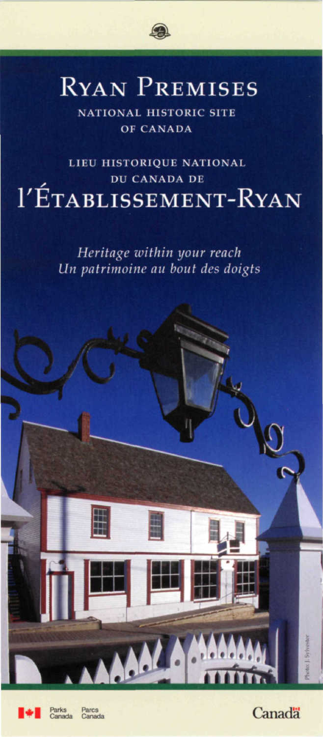

# RYAN PREMISES

**NATIONAL HISTORIC SITE OF CANADA** 

**LIEU HISTORIQUE NATIONAL DU CANADA DE**  1'ÉTABLISSEMENT-RYAN

> *Heritage within your reach Un patrimoine au bout des doigts*